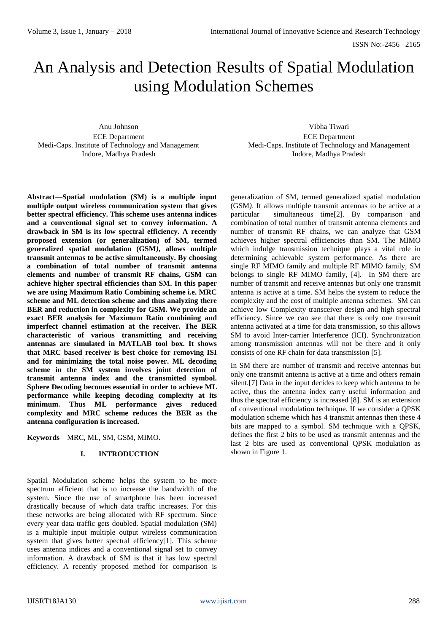# An Analysis and Detection Results of Spatial Modulation using Modulation Schemes

Anu Johnson ECE Department Medi-Caps. Institute of Technology and Management Indore, Madhya Pradesh

Vibha Tiwari ECE Department Medi-Caps. Institute of Technology and Management Indore, Madhya Pradesh

**Abstract—Spatial modulation (SM) is a multiple input multiple output wireless communication system that gives better spectral efficiency. This scheme uses antenna indices and a conventional signal set to convey information. A drawback in SM is its low spectral efficiency. A recently proposed extension (or generalization) of SM, termed generalized spatial modulation (GSM***)***, allows multiple transmit antennas to be active simultaneously. By choosing a combination of total number of transmit antenna elements and number of transmit RF chains, GSM can achieve higher spectral efficiencies than SM. In this paper we are using Maximum Ratio Combining scheme i.e. MRC scheme and ML detection scheme and thus analyzing there BER and reduction in complexity for GSM. We provide an exact BER analysis for Maximum Ratio combining and imperfect channel estimation at the receiver. The BER characteristic of various transmitting and receiving antennas are simulated in MATLAB tool box. It shows that MRC based receiver is best choice for removing ISI and for minimizing the total noise power. ML decoding scheme in the SM system involves joint detection of transmit antenna index and the transmitted symbol. Sphere Decoding becomes essential in order to achieve ML performance while keeping decoding complexity at its minimum. Thus ML performance gives reduced complexity and MRC scheme reduces the BER as the antenna configuration is increased.** 

**Keywords**—MRC, ML, SM, GSM, MIMO.

## **I. INTRODUCTION**

Spatial Modulation scheme helps the system to be more spectrum efficient that is to increase the bandwidth of the system. Since the use of smartphone has been increased drastically because of which data traffic increases. For this these networks are being allocated with RF spectrum. Since every year data traffic gets doubled. Spatial modulation (SM) is a multiple input multiple output wireless communication system that gives better spectral efficiency[1]. This scheme uses antenna indices and a conventional signal set to convey information. A drawback of SM is that it has low spectral efficiency. A recently proposed method for comparison is

generalization of SM, termed generalized spatial modulation (GSM*)*. It allows multiple transmit antennas to be active at a particular simultaneous time[2]. By comparison and combination of total number of transmit antenna elements and number of transmit RF chains, we can analyze that GSM achieves higher spectral efficiencies than SM. The MIMO which indulge transmission technique plays a vital role in determining achievable system performance. As there are single RF MIMO family and multiple RF MIMO family, SM belongs to single RF MIMO family, [4]. In SM there are number of transmit and receive antennas but only one transmit antenna is active at a time. SM helps the system to reduce the complexity and the cost of multiple antenna schemes. SM can achieve low Complexity transceiver design and high spectral efficiency. Since we can see that there is only one transmit antenna activated at a time for data transmission, so this allows SM to avoid Inter-carrier Interference (ICI). Synchronization among transmission antennas will not be there and it only consists of one RF chain for data transmission [5].

In SM there are number of transmit and receive antennas but only one transmit antenna is active at a time and others remain silent.[7] Data in the input decides to keep which antenna to be active, thus the antenna index carry useful information and thus the spectral efficiency is increased [8]. SM is an extension of conventional modulation technique. If we consider a QPSK modulation scheme which has 4 transmit antennas then these 4 bits are mapped to a symbol. SM technique with a QPSK, defines the first 2 bits to be used as transmit antennas and the last 2 bits are used as conventional QPSK modulation as shown in Figure 1.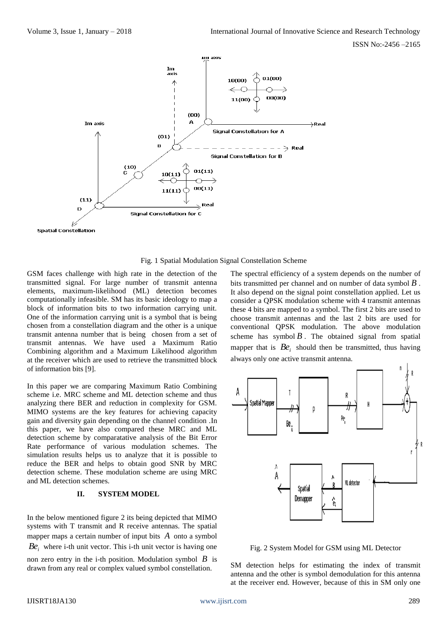

Fig. 1 Spatial Modulation Signal Constellation Scheme

GSM faces challenge with high rate in the detection of the transmitted signal. For large number of transmit antenna elements, maximum-likelihood (ML) detection becomes computationally infeasible. SM has its basic ideology to map a block of information bits to two information carrying unit. One of the information carrying unit is a symbol that is being chosen from a constellation diagram and the other is a unique transmit antenna number that is being chosen from a set of transmit antennas. We have used a Maximum Ratio Combining algorithm and a Maximum Likelihood algorithm at the receiver which are used to retrieve the transmitted block of information bits [9].

In this paper we are comparing Maximum Ratio Combining scheme i.e. MRC scheme and ML detection scheme and thus analyzing there BER and reduction in complexity for GSM. MIMO systems are the key features for achieving capacity gain and diversity gain depending on the channel condition .In this paper, we have also compared these MRC and ML detection scheme by comparatative analysis of the Bit Error Rate performance of various modulation schemes. The simulation results helps us to analyze that it is possible to reduce the BER and helps to obtain good SNR by MRC detection scheme. These modulation scheme are using MRC and ML detection schemes.

## **II. SYSTEM MODEL**

In the below mentioned figure 2 its being depicted that MIMO systems with T transmit and R receive antennas. The spatial mapper maps a certain number of input bits *A* onto a symbol  $Be<sub>i</sub>$  where i-th unit vector. This i-th unit vector is having one

non zero entry in the i-th position. Modulation symbol  $\hat{B}$  is drawn from any real or complex valued symbol constellation.

The spectral efficiency of a system depends on the number of bits transmitted per channel and on number of data symbol *B* . It also depend on the signal point constellation applied. Let us consider a QPSK modulation scheme with 4 transmit antennas these 4 bits are mapped to a symbol. The first 2 bits are used to choose transmit antennas and the last 2 bits are used for conventional QPSK modulation. The above modulation scheme has symbol  $\hat{B}$ . The obtained signal from spatial mapper that is  $Be_i$  should then be transmitted, thus having always only one active transmit antenna.



Fig. 2 System Model for GSM using ML Detector

SM detection helps for estimating the index of transmit antenna and the other is symbol demodulation for this antenna at the receiver end. However, because of this in SM only one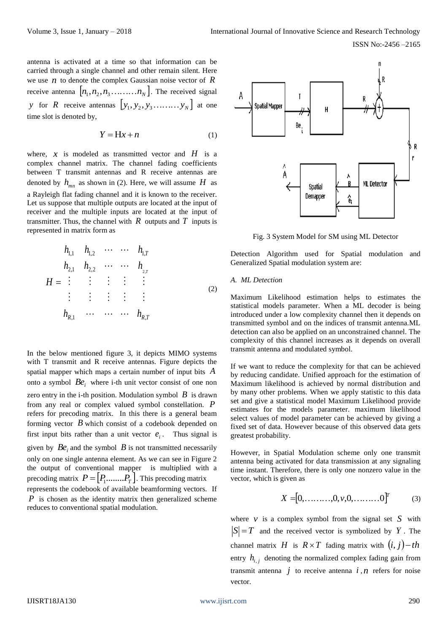antenna is activated at a time so that information can be carried through a single channel and other remain silent. Here we use  $n$  to denote the complex Gaussian noise vector of  $R$ receive antenna  $[n_1, n_2, n_3, \ldots, n_N]$ . The received signal *y* for *R* receive antennas  $[y_1, y_2, y_3, \dots, y_N]$  at one time slot is denoted by,

$$
Y = Hx + n \tag{1}
$$

where,  $x$  is modeled as transmitted vector and  $H$  is a complex channel matrix. The channel fading coefficients between T transmit antennas and R receive antennas are denoted by  $h_{mn}$  as shown in (2). Here, we will assume  $H$  as a Rayleigh flat fading channel and it is known to the receiver. Let us suppose that multiple outputs are located at the input of receiver and the multiple inputs are located at the input of transmitter. Thus, the channel with  $R$  outputs and  $T$  inputs is represented in matrix form as

$$
h_{1,1} \quad h_{1,2} \quad \cdots \quad \cdots \quad h_{1,T}
$$
\n
$$
h_{2,1} \quad h_{2,2} \quad \cdots \quad \cdots \quad h_{2,r}
$$
\n
$$
H = \begin{matrix} \vdots & \vdots & \vdots & \vdots \\ \vdots & \vdots & \vdots & \vdots \\ h_{R,1} \quad \cdots & \cdots & \cdots & h_{R,T} \end{matrix}
$$
\n
$$
(2)
$$

In the below mentioned figure 3, it depicts MIMO systems with T transmit and R receive antennas. Figure depicts the spatial mapper which maps a certain number of input bits *A* onto a symbol  $Be_i$  where i-th unit vector consist of one non zero entry in the i-th position. Modulation symbol  $\hat{B}$  is drawn from any real or complex valued symbol constellation. *P* refers for precoding matrix. In this there is a general beam forming vector *B* which consist of a codebook depended on first input bits rather than a unit vector  $e_i$ . Thus signal is given by  $Be_i$  and the symbol  $B$  is not transmitted necessarily only on one single antenna element. As we can see in Figure 2 the output of conventional mapper is multiplied with a precoding matrix  $P = [P_1$ ........ $P_T$ . This precoding matrix represents the codebook of available beamforming vectors. If

*P* is chosen as the identity matrix then generalized scheme reduces to conventional spatial modulation.



Fig. 3 System Model for SM using ML Detector

Detection Algorithm used for Spatial modulation and Generalized Spatial modulation system are:

## *A. ML Detection*

Maximum Likelihood estimation helps to estimates the statistical models parameter. When a ML decoder is being introduced under a low complexity channel then it depends on transmitted symbol and on the indices of transmit antenna.ML detection can also be applied on an unconstrained channel. The complexity of this channel increases as it depends on overall transmit antenna and modulated symbol.

If we want to reduce the complexity for that can be achieved by reducing candidate. Unified approach for the estimation of Maximum likelihood is achieved by normal distribution and by many other problems. When we apply statistic to this data set and give a statistical model Maximum Likelihood provide estimates for the models parameter. maximum likelihood select values of model parameter can be achieved by giving a fixed set of data. However because of this observed data gets greatest probability.

However, in Spatial Modulation scheme only one transmit antenna being activated for data transmission at any signaling time instant. Therefore, there is only one nonzero value in the vector, which is given as

$$
X = [0, \dots, 0, v, 0, \dots, 0]^T
$$
 (3)

where  $\nu$  is a complex symbol from the signal set S with  $|S| = T$  and the received vector is symbolized by Y. The channel matrix *H* is  $R \times T$  fading matrix with  $(i, j) - th$ entry  $h_{i,j}$  denoting the normalized complex fading gain from transmit antenna  $j$  to receive antenna  $i, n$  refers for noise vector.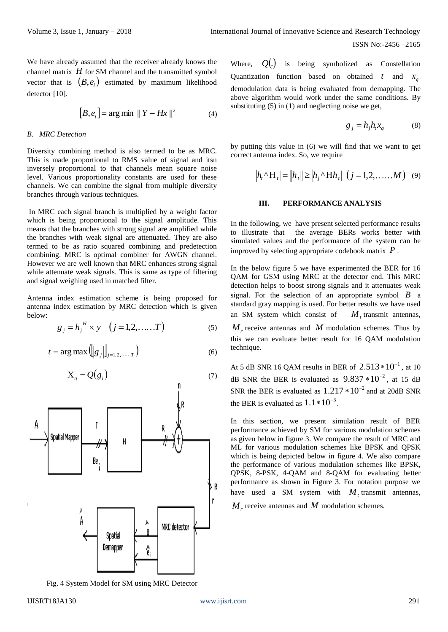ISSN No:-2456 –2165

We have already assumed that the receiver already knows the channel matrix  $H$  for SM channel and the transmitted symbol vector that is  $(B, e_i)$  estimated by maximum likelihood detector [10].

$$
[B, e_i] = \arg \min \|Y - Hx\|^2 \tag{4}
$$

#### *B. MRC Detection*

Diversity combining method is also termed to be as MRC. This is made proportional to RMS value of signal and itsn inversely proportional to that channels mean square noise level. Various proportionality constants are used for these channels. We can combine the signal from multiple diversity branches through various techniques.

In MRC each signal branch is multiplied by a weight factor which is being proportional to the signal amplitude. This means that the branches with strong signal are amplified while the branches with weak signal are attenuated. They are also termed to be as ratio squared combining and predetection combining. MRC is optimal combiner for AWGN channel. However we are well known that MRC enhances strong signal while attenuate weak signals. This is same as type of filtering and signal weighing used in matched filter.

Antenna index estimation scheme is being proposed for antenna index estimation by MRC detection which is given below:

$$
g_j = h_j^H \times y \quad (j = 1, 2, \dots, T)
$$
 (5)

$$
t = \arg \max \left( \left\| g_j \right\| \right)_{j=1,2,\dots,T} \right) \tag{6}
$$

$$
X_q = Q(g_i) \tag{7}
$$



Fig. 4 System Model for SM using MRC Detector

technique.

Where, *<sup>Q</sup>*. is being symbolized as Constellation Quantization function based on obtained t and  $x_q$ demodulation data is being evaluated from demapping. The above algorithm would work under the same conditions. By substituting (5) in (1) and neglecting noise we get,

$$
g_j = h_j h_t x_q \tag{8}
$$

by putting this value in (6) we will find that we want to get correct antenna index. So, we require

$$
\left| h_{t} \wedge H_{t} \right| = \left| h_{t} \right| \geq \left| h_{j} \wedge H h_{t} \right| \left( j = 1, 2, \dots, M \right) \tag{9}
$$

## **III. PERFORMANCE ANALYSIS**

In the following, we have present selected performance results to illustrate that the average BERs works better with simulated values and the performance of the system can be improved by selecting appropriate codebook matrix *P* .

In the below figure 5 we have experimented the BER for 16 QAM for GSM using MRC at the detector end. This MRC detection helps to boost strong signals and it attenuates weak signal. For the selection of an appropriate symbol  $\boldsymbol{B}$  a standard gray mapping is used. For better results we have used an SM system which consist of  $M_t$  transmit antennas,  $M_r$  receive antennas and M modulation schemes. Thus by this we can evaluate better result for 16 QAM modulation

At 5 dB SNR 16 QAM results in BER of  $2.513*10^{-1}$ , at 10 dB SNR the BER is evaluated as  $9.837 * 10^{-2}$ , at 15 dB SNR the BER is evaluated as  $1.217 * 10^{-2}$  and at 20dB SNR the BER is evaluated as  $1.1 * 10^{-3}$ .

In this section, we present simulation result of BER performance achieved by SM for various modulation schemes as given below in figure 3. We compare the result of MRC and ML for various modulation schemes like BPSK and QPSK which is being depicted below in figure 4. We also compare the performance of various modulation schemes like BPSK, QPSK, 8-PSK, 4-QAM and 8-QAM for evaluating better performance as shown in Figure 3. For notation purpose we have used a SM system with  $M_t$  transmit antennas,

 $M_r$  receive antennas and  $M$  modulation schemes.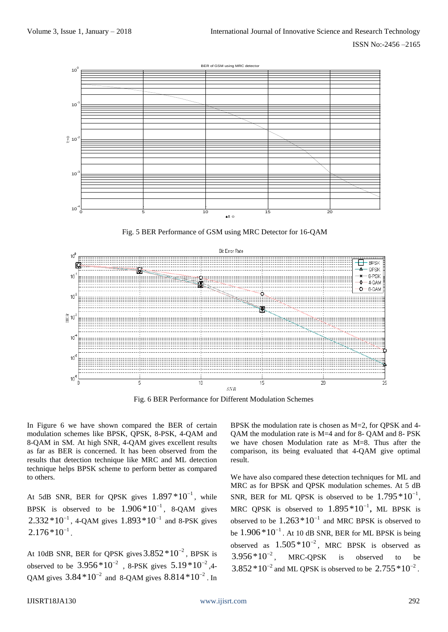

Fig. 5 BER Performance of GSM using MRC Detector for 16-QAM



Fig. 6 BER Performance for Different Modulation Schemes

In Figure 6 we have shown compared the BER of certain modulation schemes like BPSK, QPSK, 8-PSK, 4-QAM and 8-QAM in SM. At high SNR, 4-QAM gives excellent results as far as BER is concerned. It has been observed from the results that detection technique like MRC and ML detection technique helps BPSK scheme to perform better as compared to others.

At 5dB SNR, BER for QPSK gives  $1.897 * 10^{-1}$ , while BPSK is observed to be  $1.906*10^{-1}$ , 8-QAM gives  $2.332*10^{-1}$ , 4-QAM gives  $1.893*10^{-1}$  and 8-PSK gives  $2.176*10^{-1}$ .

At 10dB SNR, BER for QPSK gives  $3.852*10^{-2}$ , BPSK is observed to be  $3.956*10^{-2}$  , 8-PSK gives  $5.19*10^{-2}$ ,4-QAM gives  $3.84*10^{-2}$  and 8-QAM gives  $8.814*10^{-2}$ . In

BPSK the modulation rate is chosen as M=2, for QPSK and 4- QAM the modulation rate is M=4 and for 8- QAM and 8- PSK we have chosen Modulation rate as M=8. Thus after the comparison, its being evaluated that 4-QAM give optimal result.

We have also compared these detection techniques for ML and MRC as for BPSK and QPSK modulation schemes. At 5 dB SNR, BER for ML QPSK is observed to be  $1.795*10^{-1}$ , MRC QPSK is observed to  $1.895 * 10^{-1}$ , ML BPSK is observed to be  $1.263*10^{-1}$  and MRC BPSK is observed to be  $1.906 * 10^{-1}$ . At 10 dB SNR, BER for ML BPSK is being observed as  $1.505*10^{-2}$ , MRC BPSK is observed as  $3.956*10^{-2}$ , MRC-QPSK is observed to be  $3.852*10^{-2}$  and ML QPSK is observed to be  $2.755*10^{-2}$ .